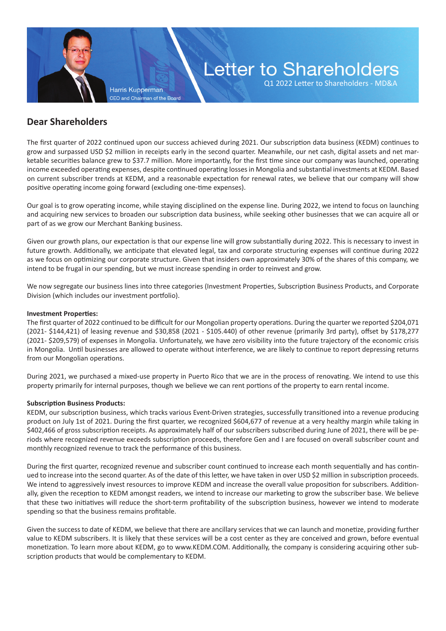**Harris Kupperman** CEO and Chairman of the Board

# Letter to Shareholders

Q1 2022 Letter to Shareholders - MD&A

# **Dear Shareholders**

The first quarter of 2022 continued upon our success achieved during 2021. Our subscription data business (KEDM) continues to grow and surpassed USD \$2 million in receipts early in the second quarter. Meanwhile, our net cash, digital assets and net marketable securities balance grew to \$37.7 million. More importantly, for the first time since our company was launched, operating income exceeded operating expenses, despite continued operating losses in Mongolia and substantial investments at KEDM. Based on current subscriber trends at KEDM, and a reasonable expectation for renewal rates, we believe that our company will show positive operating income going forward (excluding one-time expenses).

Our goal is to grow operating income, while staying disciplined on the expense line. During 2022, we intend to focus on launching and acquiring new services to broaden our subscription data business, while seeking other businesses that we can acquire all or part of as we grow our Merchant Banking business.

Given our growth plans, our expectation is that our expense line will grow substantially during 2022. This is necessary to invest in future growth. Additionally, we anticipate that elevated legal, tax and corporate structuring expenses will continue during 2022 as we focus on optimizing our corporate structure. Given that insiders own approximately 30% of the shares of this company, we intend to be frugal in our spending, but we must increase spending in order to reinvest and grow.

We now segregate our business lines into three categories (Investment Properties, Subscription Business Products, and Corporate Division (which includes our investment portfolio).

#### **Investment Properties:**

The first quarter of 2022 continued to be difficult for our Mongolian property operations. During the quarter we reported \$204,071 (2021- \$144,421) of leasing revenue and \$30,858 (2021 - \$105.440) of other revenue (primarily 3rd party), offset by \$178,277 (2021- \$209,579) of expenses in Mongolia. Unfortunately, we have zero visibility into the future trajectory of the economic crisis in Mongolia. Until businesses are allowed to operate without interference, we are likely to continue to report depressing returns from our Mongolian operations.

During 2021, we purchased a mixed-use property in Puerto Rico that we are in the process of renovating. We intend to use this property primarily for internal purposes, though we believe we can rent portions of the property to earn rental income.

## **Subscription Business Products:**

KEDM, our subscription business, which tracks various Event-Driven strategies, successfully transitioned into a revenue producing product on July 1st of 2021. During the first quarter, we recognized \$604,677 of revenue at a very healthy margin while taking in \$402,466 of gross subscription receipts. As approximately half of our subscribers subscribed during June of 2021, there will be periods where recognized revenue exceeds subscription proceeds, therefore Gen and I are focused on overall subscriber count and monthly recognized revenue to track the performance of this business.

During the first quarter, recognized revenue and subscriber count continued to increase each month sequentially and has continued to increase into the second quarter. As of the date of this letter, we have taken in over USD \$2 million in subscription proceeds. We intend to aggressively invest resources to improve KEDM and increase the overall value proposition for subscribers. Additionally, given the reception to KEDM amongst readers, we intend to increase our marketing to grow the subscriber base. We believe that these two initiatives will reduce the short-term profitability of the subscription business, however we intend to moderate spending so that the business remains profitable.

Given the success to date of KEDM, we believe that there are ancillary services that we can launch and monetize, providing further value to KEDM subscribers. It is likely that these services will be a cost center as they are conceived and grown, before eventual monetization. To learn more about KEDM, go to www.KEDM.COM. Additionally, the company is considering acquiring other subscription products that would be complementary to KEDM.